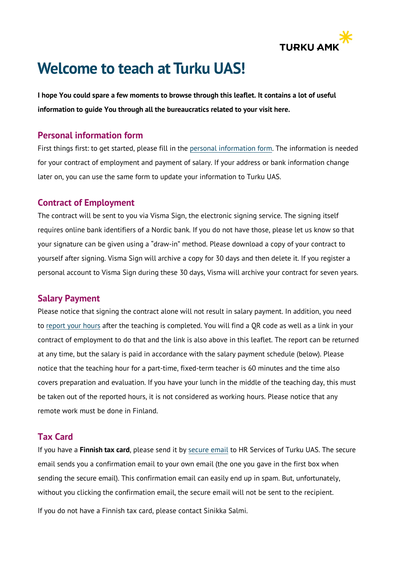

# **Welcome to teach at Turku UAS!**

**I hope You could spare a few moments to browse through this leaflet. It contains a lot of useful information to guide You through all the bureaucratics related to your visit here.**

#### **Personal information form**

First things first: to get started, please fill in the [personal information](https://forms.office.com/Pages/ResponsePage.aspx?id=hrwyq_ISOEuyYsV3WYLiQU0UKUhLDeNAoRmHhh3ntlVUQUVHOFdFNDZYM08yTks3SE1ITzRVRVdHMS4u) form. The information is needed for your contract of employment and payment of salary. If your address or bank information change later on, you can use the same form to update your information to Turku UAS.

#### **Contract of Employment**

The contract will be sent to you via Visma Sign, the electronic signing service. The signing itself requires online bank identifiers of a Nordic bank. If you do not have those, please let us know so that your signature can be given using a "draw-in" method. Please download a copy of your contract to yourself after signing. Visma Sign will archive a copy for 30 days and then delete it. If you register a personal account to Visma Sign during these 30 days, Visma will archive your contract for seven years.

#### **Salary Payment**

Please notice that signing the contract alone will not result in salary payment. In addition, you need to [report your hours](https://forms.office.com/Pages/ResponsePage.aspx?id=hrwyq_ISOEuyYsV3WYLiQU0UKUhLDeNAoRmHhh3ntlVUN0s1NVhKTjdSWUlFR0FLVTkzS08zRE1RUy4u) after the teaching is completed. You will find a QR code as well as a link in your contract of employment to do that and the link is also above in this leaflet. The report can be returned at any time, but the salary is paid in accordance with the salary payment schedule (below). Please notice that the teaching hour for a part-time, fixed-term teacher is 60 minutes and the time also covers preparation and evaluation. If you have your lunch in the middle of the teaching day, this must be taken out of the reported hours, it is not considered as working hours. Please notice that any remote work must be done in Finland.

### **Tax Card**

If you have a **Finnish tax card**, please send it by secure email to HR Services of Turku UAS. The secure email sends you a confirmation email to your own email (the one you gave in the first box when sending the secure email). This confirmation email can easily end up in spam. But, unfortunately, without you clicking the confirmation email, the secure email will not be sent to the recipient.

If you do not have a Finnish tax card, please contact Sinikka Salmi.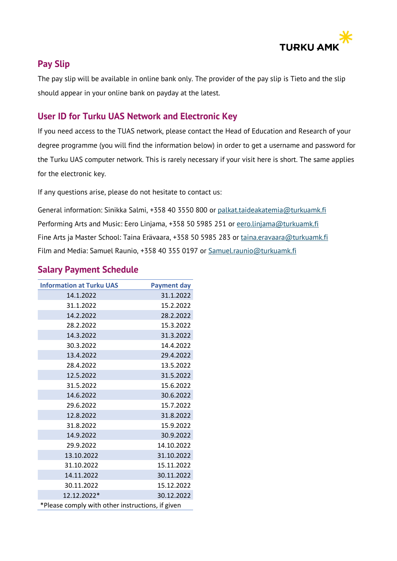

# **Pay Slip**

The pay slip will be available in online bank only. The provider of the pay slip is Tieto and the slip should appear in your online bank on payday at the latest.

# **User ID for Turku UAS Network and Electronic Key**

If you need access to the TUAS network, please contact the Head of Education and Research of your degree programme (you will find the information below) in order to get a username and password for the Turku UAS computer network. This is rarely necessary if your visit here is short. The same applies for the electronic key.

If any questions arise, please do not hesitate to contact us:

General information: Sinikka Salmi, +358 40 3550 800 or [palkat.taideakatemia@turkuamk.fi](mailto:palkat.taideakatemia@turkuamk.fi)  Performing Arts and Music: Eero Linjama, +358 50 5985 251 or [eero.linjama@turkuamk.fi](mailto:Eero.Linjama@turkuamk.fi)  Fine Arts ja Master School: Taina Erävaara, +358 50 5985 283 or taina.eravaara@turkuamk.fi Film and Media: Samuel Raunio, +358 40 355 0197 or Samuel.raunio@turkuamk.fi

# **Salary Payment Schedule**

| <b>Information at Turku UAS</b>                  | <b>Payment day</b> |
|--------------------------------------------------|--------------------|
| 14.1.2022                                        | 31.1.2022          |
| 31.1.2022                                        | 15.2.2022          |
| 14.2.2022                                        | 28.2.2022          |
| 28.2.2022                                        | 15.3.2022          |
| 14.3.2022                                        | 31.3.2022          |
| 30.3.2022                                        | 14.4.2022          |
| 13.4.2022                                        | 29.4.2022          |
| 28.4.2022                                        | 13.5.2022          |
| 12.5.2022                                        | 31.5.2022          |
| 31.5.2022                                        | 15.6.2022          |
| 14.6.2022                                        | 30.6.2022          |
| 29.6.2022                                        | 15.7.2022          |
| 12.8.2022                                        | 31.8.2022          |
| 31.8.2022                                        | 15.9.2022          |
| 14.9.2022                                        | 30.9.2022          |
| 29.9.2022                                        | 14.10.2022         |
| 13.10.2022                                       | 31.10.2022         |
| 31.10.2022                                       | 15.11.2022         |
| 14.11.2022                                       | 30.11.2022         |
| 30.11.2022                                       | 15.12.2022         |
| 12.12.2022*                                      | 30.12.2022         |
| *Please comply with other instructions, if given |                    |